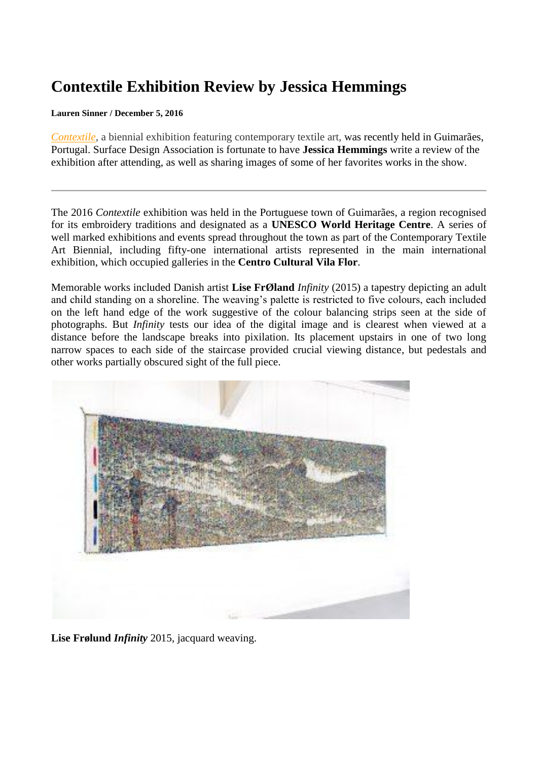## **Contextile Exhibition Review by Jessica Hemmings**

## **Lauren Sinner / December 5, 2016**

*[Contextile](http://contextile.pt/2016/)*, a biennial exhibition featuring contemporary textile art, was recently held in Guimarães, Portugal. Surface Design Association is fortunate to have **Jessica Hemmings** write a review of the exhibition after attending, as well as sharing images of some of her favorites works in the show.

The 2016 *Contextile* exhibition was held in the Portuguese town of Guimarães, a region recognised for its embroidery traditions and designated as a **UNESCO World Heritage Centre**. A series of well marked exhibitions and events spread throughout the town as part of the Contemporary Textile Art Biennial, including fifty-one international artists represented in the main international exhibition, which occupied galleries in the **Centro Cultural Vila Flor**.

Memorable works included Danish artist **Lise FrØland** *Infinity* (2015) a tapestry depicting an adult and child standing on a shoreline. The weaving's palette is restricted to five colours, each included on the left hand edge of the work suggestive of the colour balancing strips seen at the side of photographs. But *Infinity* tests our idea of the digital image and is clearest when viewed at a distance before the landscape breaks into pixilation. Its placement upstairs in one of two long narrow spaces to each side of the staircase provided crucial viewing distance, but pedestals and other works partially obscured sight of the full piece.



**Lise Frølund** *Infinity* 2015, jacquard weaving.